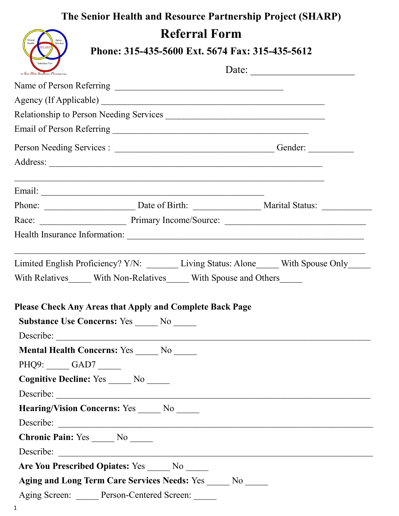## **The Senior Health and Resource Partnership Project (SHARP) Referral Form Phone: 315-435-5600 Ext. 5674 Fax: 315-435-5612** Date: \_\_\_\_\_\_\_\_\_\_\_\_\_\_\_\_\_\_\_\_ The  $S_{\text{min}}$   $H_{\text{odd}}$   $\overline{A}$ Name of Person Referring \_\_\_\_\_\_\_\_\_\_\_\_\_\_\_\_\_\_\_\_\_\_\_\_\_\_\_\_\_\_\_\_\_\_\_\_\_ Agency (If Applicable) Relationship to Person Needing Services \_\_\_\_\_\_\_\_\_\_\_\_\_\_\_\_\_\_\_\_\_\_\_\_\_\_\_\_\_\_\_\_\_\_\_ Email of Person Referring \_\_\_\_\_\_\_\_\_\_\_\_\_\_\_\_\_\_\_\_\_\_\_\_\_\_\_\_\_\_\_\_\_\_\_\_\_\_\_\_\_\_\_ Person Needing Services : \_\_\_\_\_\_\_\_\_\_\_\_\_\_\_\_\_\_\_\_\_\_\_\_\_\_\_\_\_\_\_\_\_\_\_ Gender: \_\_\_\_\_\_\_\_\_\_ Address:  $\mathcal{L}_\text{max} = \mathcal{L}_\text{max} = \mathcal{L}_\text{max} = \mathcal{L}_\text{max} = \mathcal{L}_\text{max} = \mathcal{L}_\text{max} = \mathcal{L}_\text{max} = \mathcal{L}_\text{max} = \mathcal{L}_\text{max} = \mathcal{L}_\text{max} = \mathcal{L}_\text{max} = \mathcal{L}_\text{max} = \mathcal{L}_\text{max} = \mathcal{L}_\text{max} = \mathcal{L}_\text{max} = \mathcal{L}_\text{max} = \mathcal{L}_\text{max} = \mathcal{L}_\text{max} = \mathcal{$ Email: \_\_\_\_\_\_\_\_\_\_\_\_\_\_\_\_\_\_\_\_\_\_\_\_\_\_\_\_\_\_\_\_\_\_\_\_\_\_\_\_\_\_\_\_\_\_\_\_\_ Phone: \_\_\_\_\_\_\_\_\_\_\_\_\_\_\_\_\_\_\_\_ Date of Birth: \_\_\_\_\_\_\_\_\_\_\_\_\_\_\_ Marital Status: \_\_\_\_\_\_\_\_\_\_\_ Race: \_\_\_\_\_\_\_\_\_\_\_\_\_\_\_\_\_\_\_ Primary Income/Source: \_\_\_\_\_\_\_\_\_\_\_\_\_\_\_\_\_\_\_\_\_\_\_\_\_\_\_\_\_\_\_ Health Insurance Information: \_\_\_\_\_\_\_\_\_\_\_\_\_\_\_\_\_\_\_\_\_\_\_\_\_\_\_\_\_\_\_\_\_\_\_\_\_\_\_\_\_\_\_\_\_\_\_\_\_\_\_\_ Limited English Proficiency? Y/N: \_\_\_\_\_\_\_\_ Living Status: Alone\_\_\_\_\_ With Spouse Only\_\_\_\_\_ With Relatives With Non-Relatives With Spouse and Others **Please Check Any Areas that Apply and Complete Back Page Substance Use Concerns:** Yes \_\_\_\_\_ No \_\_\_\_\_ Describe: \_\_\_\_\_\_\_\_\_\_\_\_\_\_\_\_\_\_\_\_\_\_\_\_\_\_\_\_\_\_\_\_\_\_\_\_\_\_\_\_\_\_\_\_\_\_\_\_\_\_\_\_\_\_\_\_\_\_\_\_\_\_\_\_\_\_\_\_\_ **Mental Health Concerns: Yes \_\_\_\_\_ No \_\_\_\_\_\_\_ No PHQ9:** GAD7 Cognitive Decline: Yes \_\_\_\_\_ No \_\_\_\_\_ Describe: \_\_\_\_\_\_\_\_\_\_\_\_\_\_\_\_\_\_\_\_\_\_\_\_\_\_\_\_\_\_\_\_\_\_\_\_\_\_\_\_\_\_\_\_\_\_\_\_\_\_\_\_\_\_\_\_\_\_\_\_\_\_\_\_\_\_\_\_\_ **Hearing/Vision Concerns:** Yes No Describe: **Chronic Pain:** Yes No Describe:  **Are You Prescribed Opiates:** Yes \_\_\_\_\_ No \_\_\_\_\_ **Aging and Long Term Care Services Needs:** Yes \_\_\_\_\_ No \_\_\_\_\_ Aging Screen: Person-Centered Screen: